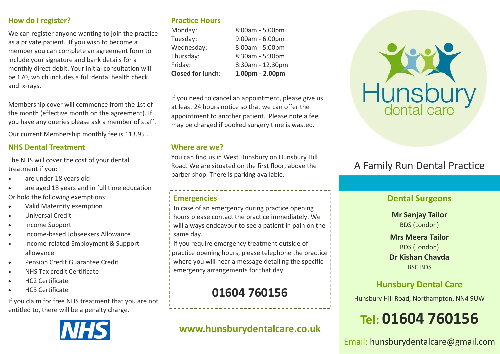### **How do I register?**

We can register anyone wanting to join the practice as a private patient. If you wish to become a member you can complete an agreement form to include your signature and bank details for a monthly direct debit. Your initial consultation will be £70, which includes a full dental health check and x-rays.

Membership cover will commence from the 1st of the month (effective month on the agreement). If you have any queries please ask a member of staff.

Our current Membership monthly fee is £13.95 .

### **NHS Dental Treatment**

The NHS will cover the cost of your dental treatment if you:

- are under 18 years old
- are aged 18 years and in full time education Or hold the following exemptions:
- Valid Maternity exemption
- Universal Credit
- Income Support
- Income-based Jobseekers Allowance
- Income-related Employment & Support allowance
- Pension Credit Guarantee Credit
- NHS Tax credit Certificate
- HC2 Certificate
- HC3 Certificate

If you claim for free NHS treatment that you are not entitled to, there will be a penalty charge.



### **Practice Hours**

| <b>Closed for lunch:</b> | 1.00pm - 2.00pm   |
|--------------------------|-------------------|
| Friday:                  | 8:30am - 12.30pm  |
| Thursday:                | 8:30am - 5:30pm   |
| Wednesday:               | 8:00am - 5:00pm   |
| Tuesday:                 | $9:00am - 6.00pm$ |
| Monday:                  | 8:00am - 5.00pm   |

If you need to cancel an appointment, please give us at least 24 hours notice so that we can offer the appointment to another patient. Please note a fee may be charged if booked surgery time is wasted.

### **Where are we?**

You can find us in West Hunsbury on Hunsbury Hill Road. We are situated on the first floor, above the barber shop. There is parking available.

### **Emergencies**

In case of an emergency during practice opening hours please contact the practice immediately. We will always endeavour to see a patient in pain on the same day.

If you require emergency treatment outside of practice opening hours, please telephone the practice where you will hear a message detailing the specific emergency arrangements for that day.

## **01604 760156**

## **www.hunsburydentalcare.co.uk**



## A Family Run Dental Practice

### **Dental Surgeons**

**Mr Sanjay Tailor**  BDS (London)

### **Mrs Meera Tailor**  BDS (London) **Dr Kishan Chavda** BSC BDS

### **Hunsbury Dental Care**

Hunsbury Hill Road, Northampton, NN4 9UW

# **Tel: 01604 760156**

Email: hunsburydentalcare@gmail.com